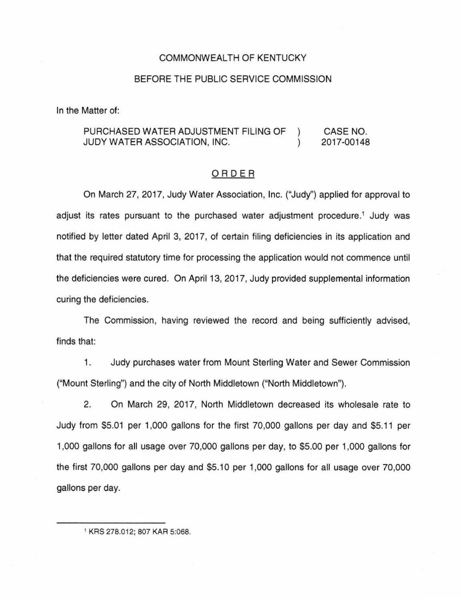### COMMONWEALTH OF KENTUCKY

### BEFORE THE PUBLIC SERVICE COMMISSION

In the Matter of:

#### PURCHASED WATER ADJUSTMENT FILING OF CASE NO.  $\lambda$ JUDY WATER ASSOCIATION, INC. 2017-00148  $\lambda$

#### ORDER

On March 27, 2017, Judy Water Association, Inc. ("Judy'') applied for approval to adjust its rates pursuant to the purchased water adjustment procedure.<sup>1</sup> Judy was notified by letter dated April 3, 2017, of certain filing deficiencies in its application and that the required statutory time for processing the application would not commence until the deficiencies were cured. On April 13, 2017, Judy provided supplemental information curing the deficiencies.

The Commission, having reviewed the record and being sufficiently advised, finds that:

1. Judy purchases water from Mount Sterling Water and Sewer Commission ("Mount Sterling") and the city of North Middletown ("North Middletown").

2. On March 29, 2017, North Middletown decreased its wholesale rate to Judy from \$5.01 per 1 ,000 gallons for the first 70,000 gallons per day and \$5.11 per 1,000 gallons for all usage over 70,000 gallons per day, to \$5.00 per 1,000 gallons for the first 70,000 gallons per day and \$5.10 per 1,000 gallons for all usage over 70,000 gallons per day.

1 KRS 278.012; 807 KAR 5:068.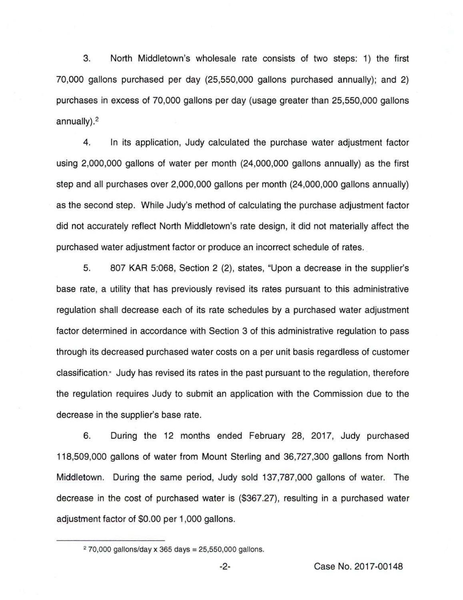3. North Middletown's wholesale rate consists of two steps: 1) the first 70,000 gallons purchased per day (25,550,000 gallons purchased annually); and 2) purchases in excess of 70,000 gallons per day (usage greater than 25,550,000 gallons annually). 2

4. In its application, Judy calculated the purchase water adjustment factor using 2,000,000 gallons of water per month (24,000,000 gallons annually) as the first step and all purchases over 2,000,000 gallons per month (24,000,000 gallons annually) as the second step. While Judy's method of calculating the purchase adjustment factor did not accurately reflect North Middletown's rate design, it did not materially affect the purchased water adjustment factor or produce an incorrect schedule of rates.

5. 807 KAR 5:068, Section 2 (2), states, "Upon a decrease in the supplier's base rate, a utility that has previously revised its rates pursuant to this administrative regulation shall decrease each of its rate schedules by a purchased water adjustment factor determined in accordance with Section 3 of this administrative regulation to pass through its decreased purchased water costs on a per unit basis regardless of customer classification.<sup>-</sup> Judy has revised its rates in the past pursuant to the regulation, therefore the regulation requires Judy to submit an application with the Commission due to the decrease in the supplier's base rate.

6. During the 12 months ended February 28, 2017, Judy purchased 118,509,000 gallons of water from Mount Sterling and 36,727,300 gallons from North Middletown. During the same period, Judy sold 137,787,000 gallons of water. The decrease in the cost of purchased water is (\$367.27), resulting in a purchased water adjustment factor of \$0.00 per 1 ,000 gallons.

 $270,000$  gallons/day x 365 days = 25,550,000 gallons.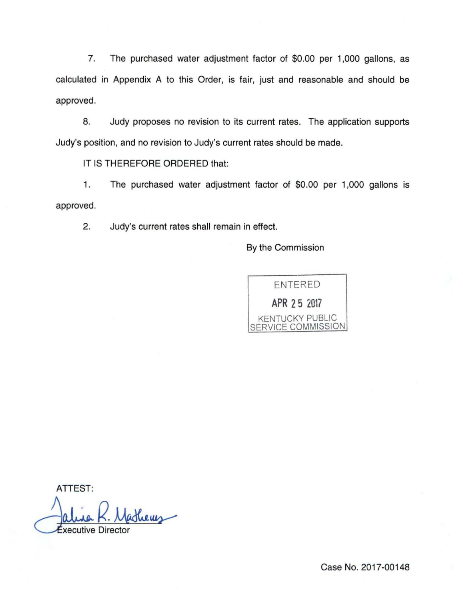7. The purchased water adjustment factor of \$0.00 per 1,000 gallons, as calculated in Appendix A to this Order, is fair, just and reasonable and should be approved.

8. Judy proposes no revision to its current rates. The application supports Judy's position, and no revision to Judy's current rates should be made.

IT IS THEREFORE ORDERED that:

1. The purchased water adjustment factor of \$0.00 per 1,000 gallons is approved.

2. Judy's current rates shall remain in effect.

By the Commission



ATTEST:

xecutive Director

Case No. 2017-00148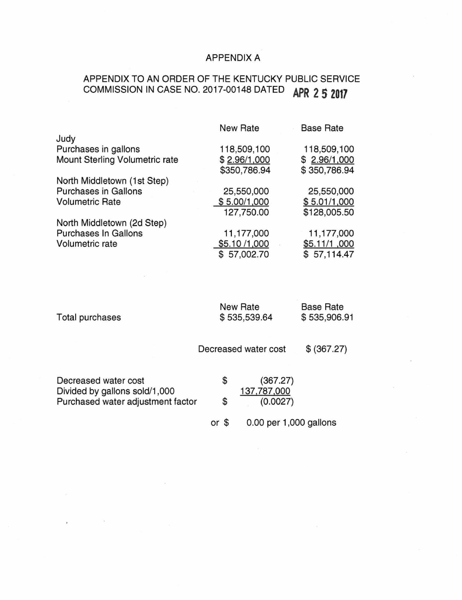## APPENDIX A

# APPENDIX TO AN ORDER OF THE KENTUCKY PUBLIC SERVICE COMMISSION IN CASE NO. 2017-00148 DATED **APR 2 5 2017**

|                                | <b>New Rate</b> | <b>Base Rate</b> |
|--------------------------------|-----------------|------------------|
| Judy                           |                 |                  |
| Purchases in gallons           | 118,509,100     | 118,509,100      |
| Mount Sterling Volumetric rate | \$2.96/1,000    | \$2.96/1,000     |
|                                | \$350,786.94    | \$350,786.94     |
| North Middletown (1st Step)    |                 |                  |
| <b>Purchases in Gallons</b>    | 25,550,000      | 25,550,000       |
| <b>Volumetric Rate</b>         | \$5.00/1,000    | \$5.01/1,000     |
|                                | 127,750.00      | \$128,005.50     |
| North Middletown (2d Step)     |                 |                  |
| Purchases In Gallons           | 11,177,000      | 11,177,000       |
| Volumetric rate                | \$5.10/1,000    | \$5.11/1,000     |
|                                | \$57,002.70     | \$57,114.47      |
|                                |                 |                  |

| Total purchases                                                    | <b>New Rate</b><br>\$535,539.64 | <b>Base Rate</b><br>\$535,906.91 |
|--------------------------------------------------------------------|---------------------------------|----------------------------------|
|                                                                    | Decreased water cost            | \$ (367.27)                      |
| Decreased water cost                                               | \$<br>(367.27)                  |                                  |
| Divided by gallons sold/1,000<br>Purchased water adjustment factor | \$<br>137,787,000<br>(0.0027)   |                                  |

 $\sim$ 

or \$ 0.00 per 1,000 gallons